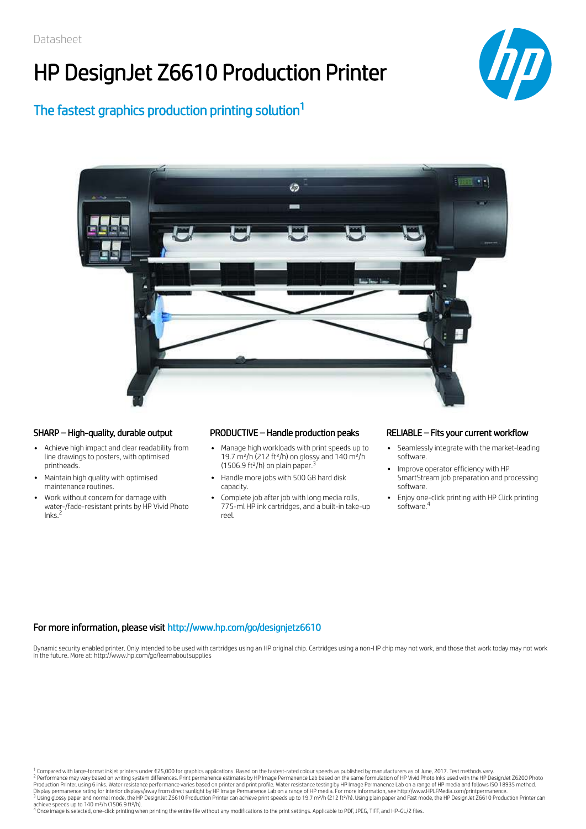# HP DesignJet Z6610 Production Printer



The fastest graphics production printing solution<sup>1</sup>



- Achieve high impact and clear readability from line drawings to posters, with optimised printheads.
- Maintain high quality with optimised maintenance routines.
- Work without concern for damage with water-/fade-resistant prints by HP Vivid Photo<br>Inks <sup>2</sup> Inks.

## SHARP – High-quality, durable output PRODUCTIVE – Handle production peaks RELIABLE – Fits your current workflow

- Manage high workloads with print speeds up to 19.7 m²/h (212 ft²/h) on glossy and 140 m²/h (1506.9 ft<sup>2</sup>/h) on plain paper.<sup>3</sup>
- Handle more jobs with 500 GB hard disk capacity.
- Complete job after job with long media rolls, 775-ml HP ink cartridges, and a built-in take-up reel.

- Seamlessly integrate with the market-leading software.
- Improve operator efficiency with HP SmartStream job preparation and processing software.
- Enjoy one-click printing with HP Click printing software. 4

## For more information, please visit http://www.hp.com/go/designjetz6610

Dynamic security enabled printer. Only intended to be used with cartridges using an HP original chip. Cartridges using a non-HP chip may not work, and those that work today may not work in the future. More at: http://www.hp.com/go/learnaboutsupplies

<sup>1</sup> Compared with large-format inkjet printers under €25,000 for graphics applications. Based on the fastest-rated colour speeds as published by manufacturers as of June, 2017. Test methods vary. <sup>2</sup> Performance may vary based on writing system differences. Print permanence estimates by HP Image Permanence Lab based on the same formulation of HP Vivid Photo Inks used with the HP DesignJet Z6200 Photo<br>Production Pri 2 3

4